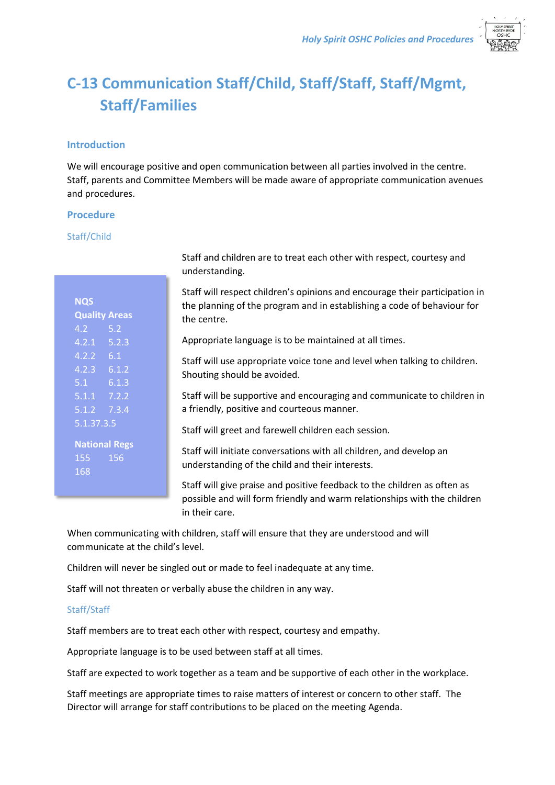

# **C-13 Communication Staff/Child, Staff/Staff, Staff/Mgmt, Staff/Families**

# **Introduction**

We will encourage positive and open communication between all parties involved in the centre. Staff, parents and Committee Members will be made aware of appropriate communication avenues and procedures.

### **Procedure**

### Staff/Child

| <b>NQS</b>           |       |
|----------------------|-------|
| <b>Quality Areas</b> |       |
| 4.2 <sub>1</sub>     | 5.2   |
| $4.2.1$ $5.2.3$      |       |
| 4.2.2                | 6.1   |
| $4.2.3$ $6.1.2$      |       |
| 5.1                  | 6.1.3 |
| $5.1.1$ $7.2.2$      |       |
| $5.1.2$ 7.3.4        |       |
| 5.1.37.3.5           |       |
|                      |       |
| <b>National Regs</b> |       |
| 155                  | 156   |
| 168                  |       |

Staff and children are to treat each other with respect, courtesy and understanding.

Staff will respect children's opinions and encourage their participation in the planning of the program and in establishing a code of behaviour for the centre.

Appropriate language is to be maintained at all times.

Staff will use appropriate voice tone and level when talking to children. Shouting should be avoided.

Staff will be supportive and encouraging and communicate to children in a friendly, positive and courteous manner.

Staff will greet and farewell children each session.

Staff will initiate conversations with all children, and develop an understanding of the child and their interests.

Staff will give praise and positive feedback to the children as often as possible and will form friendly and warm relationships with the children in their care.

When communicating with children, staff will ensure that they are understood and will communicate at the child's level.

Children will never be singled out or made to feel inadequate at any time.

Staff will not threaten or verbally abuse the children in any way.

# Staff/Staff

Staff members are to treat each other with respect, courtesy and empathy.

Appropriate language is to be used between staff at all times.

Staff are expected to work together as a team and be supportive of each other in the workplace.

Staff meetings are appropriate times to raise matters of interest or concern to other staff. The Director will arrange for staff contributions to be placed on the meeting Agenda.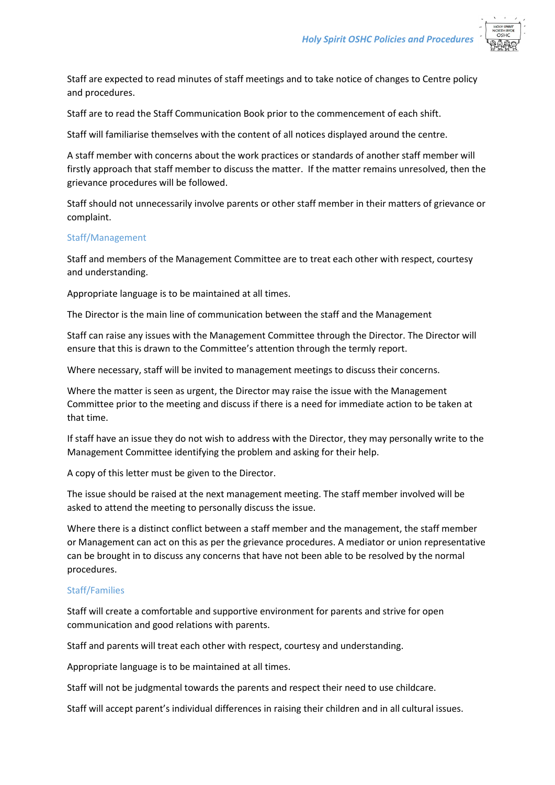

Staff are expected to read minutes of staff meetings and to take notice of changes to Centre policy and procedures.

Staff are to read the Staff Communication Book prior to the commencement of each shift.

Staff will familiarise themselves with the content of all notices displayed around the centre.

A staff member with concerns about the work practices or standards of another staff member will firstly approach that staff member to discuss the matter. If the matter remains unresolved, then the grievance procedures will be followed.

Staff should not unnecessarily involve parents or other staff member in their matters of grievance or complaint.

### Staff/Management

Staff and members of the Management Committee are to treat each other with respect, courtesy and understanding.

Appropriate language is to be maintained at all times.

The Director is the main line of communication between the staff and the Management

Staff can raise any issues with the Management Committee through the Director. The Director will ensure that this is drawn to the Committee's attention through the termly report.

Where necessary, staff will be invited to management meetings to discuss their concerns.

Where the matter is seen as urgent, the Director may raise the issue with the Management Committee prior to the meeting and discuss if there is a need for immediate action to be taken at that time.

If staff have an issue they do not wish to address with the Director, they may personally write to the Management Committee identifying the problem and asking for their help.

A copy of this letter must be given to the Director.

The issue should be raised at the next management meeting. The staff member involved will be asked to attend the meeting to personally discuss the issue.

Where there is a distinct conflict between a staff member and the management, the staff member or Management can act on this as per the grievance procedures. A mediator or union representative can be brought in to discuss any concerns that have not been able to be resolved by the normal procedures.

# Staff/Families

Staff will create a comfortable and supportive environment for parents and strive for open communication and good relations with parents.

Staff and parents will treat each other with respect, courtesy and understanding.

Appropriate language is to be maintained at all times.

Staff will not be judgmental towards the parents and respect their need to use childcare.

Staff will accept parent's individual differences in raising their children and in all cultural issues.